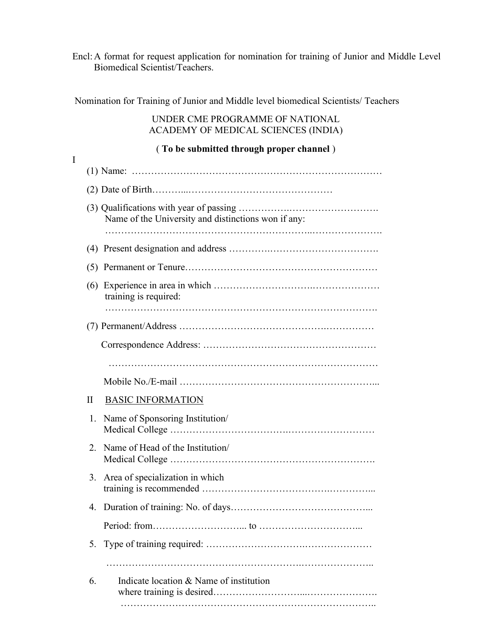Encl:A format for request application for nomination for training of Junior and Middle Level Biomedical Scientist/Teachers.

Nomination for Training of Junior and Middle level biomedical Scientists/ Teachers

## UNDER CME PROGRAMME OF NATIONAL ACADEMY OF MEDICAL SCIENCES (INDIA)

## ( **To be submitted through proper channel** )

I

| Name of the University and distinctions won if any: |
|-----------------------------------------------------|
|                                                     |
|                                                     |
| training is required:                               |
|                                                     |
|                                                     |
|                                                     |
|                                                     |
| <b>BASIC INFORMATION</b>                            |
| Name of Sponsoring Institution/                     |
| Name of Head of the Institution/                    |
| Area of specialization in which                     |
|                                                     |
|                                                     |
|                                                     |
|                                                     |
| Indicate location & Name of institution             |
|                                                     |